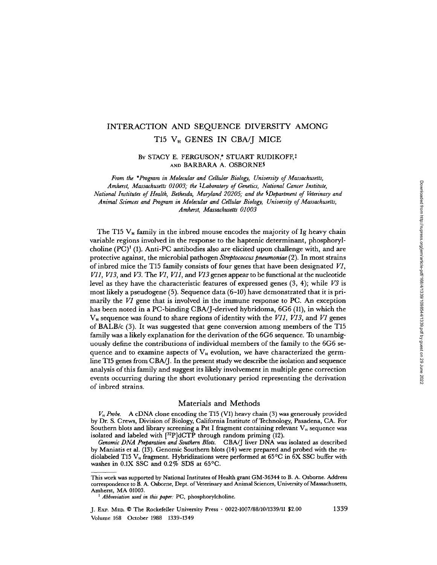# INTERACTION AND SEQUENCE DIVERSITY AMONG T15 V<sub>H</sub> GENES IN CBA/J MICE

# BY STACY E. FERGUSON,\* STUART RUDIKOFF,<sup>†</sup> AND BARBARA A . OSBORNE§

From the \*Program in Molecular and Cellular Biology, University of Massachusetts, Amherst, Massachusetts 01003; the 4Laboratory of Genetics, National Cancer Institute, National Institutes of Health, Bethesda, Maryland 20205 ; and the §Department of Veterinary and Animal Sciences and Program in Molecular and Cellular Biology, University of Massachusetts, Amherst, Massachusetts 01003

The T15  $V_H$  family in the inbred mouse encodes the majority of Ig heavy chain variable regions involved in the response to the haptenic determinant, phosphorylcholine  $(PC)^{1}$  (1). Anti-PC antibodies also are elicited upon challenge with, and are protective against, the microbial pathogen Streptococcus pneumoniae (2). In most strains of inbred mice the T15 family consists of four genes that have been designated  $VI$ ,  $V11, V13$ , and  $V3$ . The  $V1, V11,$  and  $V13$  genes appear to be functional at the nucleotide level as they have the characteristic features of expressed genes (3, 4); while V3 is most likely a pseudogene (5) . Sequence data (6-10) have demonstrated that it is primarily the V1 gene that is involved in the immune response to PC. An exception has been noted in a PC-binding CBA/J-derived hybridoma, 6G6 (11), in which the  $V_H$  sequence was found to share regions of identity with the  $V11$ ,  $V13$ , and  $V1$  genes of BALB/c (3) . It was suggested that gene conversion among members of the T15 family was a likely explanation for the derivation of the 6G6 sequence . To unambiguously define the contributions of individual members of the family to the 6G6 sequence and to examine aspects of  $V_{\text{H}}$  evolution, we have characterized the germline T15 genes from CBA/J. In the present study we describe the isolation and sequence analysis ofthis family and suggest its likely involvement in multiple gene correction events occurring during the short evolutionary period representing the derivation of inbred strains .

# Materials and Methods

 $V_{\mu}$  Probe. A cDNA clone encoding the T15 (V1) heavy chain (3) was generously provided by Dr. S. Crews, Division of Biology, California Institute of Technology, Pasadena, CA. For Southern blots and library screening a Pst I fragment containing relevant  $V_{\text{H}}$  sequence was isolated and labeled with  $[^{32}P]dCTP$  through random priming (12)

Genomic DNA Preparation and Southern Blots. CBA/J liver DNA was isolated as described by Maniatis et al . (13) . Genomic Southern blots (14) were prepared and probed with the radiolabeled T15  $V<sub>H</sub>$  fragment. Hybridizations were performed at 65°C in 6X SSC buffer with washes in 0.1X SSC and 0.2% SDS at 65°C .

This work was supported by National Institutes of Health grant GM-36344 to B. A. Osborne. Address correspondence to B. A. Osborne, Dept. of Veterinary and Animal Sciences, University of Massachusetts, Amherst, MA <sup>01003</sup> .

<sup>&</sup>lt;sup>1</sup> Abbreviation used in this paper: PC, phosphorylcholine.

Volume 168 October 1988 1339-1349 J . Exp . MED . © The Rockefeller University Press - 0022-1007/88/10/1339/11 \$2.00 1339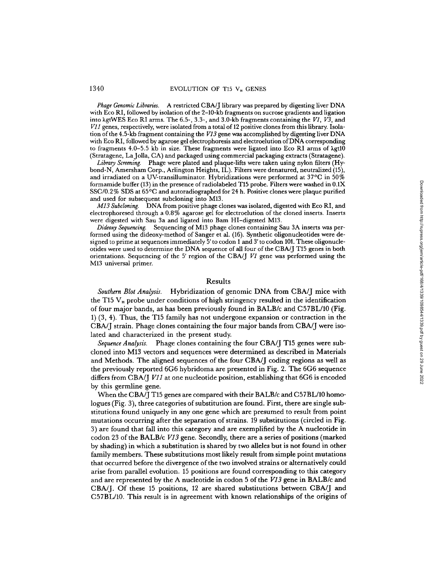Phage Genomic Libraries. A restricted CBA/J library was prepared by digesting liver DNA with Eco RI, followed by isolation of the 2-10-kb fragments on sucrose gradients and ligation into  $\lambda$ gtWES Eco RI arms. The 6.5-, 3.3-, and 3.0-kb fragments containing the  $VI$ ,  $V3$ , and V11 genes, respectively, were isolated from a total of 12 positive clones from this library. Isolation of the 4.5-kb fragment containing the  $V13$  gene was accomplished by digesting liver DNA with Eco RI, followed by agarose gel electrophoresis and electroelution of DNA corresponding to fragments 4.0-5 .5 kb in size . These fragments were ligated into Eco RI arms of Xgt10 (Stratagene, LaJolla, CA) and packaged using commercial packaging extracts (Stratagene).

Library Screening. Phage were plated and plaque-lifts were taken using nylon filters (Hybond-N, Amersham Corp., Arlington Heights, IL). Filters were denatured, neutralized (15), and irradiated on a UV-transilluminator. Hybridizations were performed at  $37^{\circ}$ C in  $50\%$ <br>formomida buffer (13) in the presence of radiolated T15 prake. Filters were worked in 0.1X formamide buffer (13) in the presence of radiolabeled T15 probe. Filters were washed in 0.1X SSC/0.2% SDS at 65°C and autoradiographed for 24 h. Positive clones were plaque purified and used for subsequent subcloning into M13.

 $M13$  Subcloning. DNA from positive phage clones was isolated, digested with Eco RI, and electrophoresed through a  $0.8\%$  agarose gel for electroelution of the cloned inserts. Inserts were digested with Sau 3a and ligated into Bam HI-digested M13 .

Dideoxy Sequencing. Sequencing of M13 phage clones containing Sau 3A inserts was performed using the dideoxy-method of Sanger et al. (16). Synthetic oligonucleotides were designed to prime at sequences immediately <sup>5</sup>' to codon <sup>1</sup> and <sup>3</sup>' to codon <sup>101</sup> . These oligonucleotides were used to determine the DNA sequence of all four ofthe CBA/J T15 genes in both orientations . Sequencing of the <sup>5</sup>' region of the CBA/J VI gene was performed using the M13 universal primer.

#### Results

Southern Blot Analysis. Hybridization of genomic DNA from CBA/J mice with the T15  $V<sub>H</sub>$  probe under conditions of high stringency resulted in the identification of four major bands, as has been previously found in BALB/c and C57BL/10 (Fig. 1) (3, 4). Thus, the T15 family has not undergone expansion or contraction in the CBA/J strain. Phage clones containing the four major bands from CBA/J were isolated and characterized in the present study.

Sequence Analysis. Phage clones containing the four CBA/J T15 genes were subcloned into M13 vectors and sequences were determined as described in Materials and Methods. The aligned sequences of the four CBA/J coding regions as well as the previously reported 6G6 hybridoma are presented in Fig. <sup>2</sup> . The 6G6 sequence differs from CBA/J V11 at one nucleotide position, establishing that 6G6 is encoded by this germline gene.

When the CBA/J T15 genes are compared with their BALB/c and C57BL/10 homologues (Fig. 3), three categories of substitution are found. First, there are single substitutions found uniquely in any one gene which are presumed to result from point mutations occurring after the separation of strains. 19 substitutions (circled in Fig . 3) are found that fall into this category and are exemplified by the A nucleotide in codon 23 of the BALB/c V13 gene. Secondly, there are a series of positions (marked by shading) in which a substitution is shared by two alleles but is not found in other family members. These substitutions most likely result from simple point mutations that occurred before the divergence of the two involved strains or alternatively could arise from parallel evolution. 15 positions are found corresponding to this category and are represented by the Anucleotide in codon 5 of the V13 gene in BALB/c and CBA/J. Of these <sup>15</sup> positions, <sup>12</sup> are shared substitutions between CBA/J and C57BL/10. This result is in agreement with known relationships of the origins of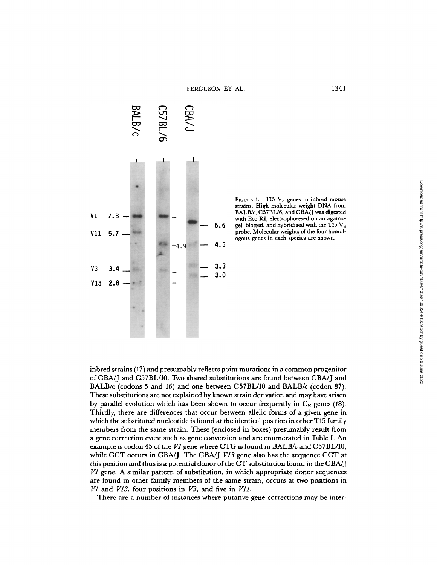

FIGURE 1. T15  $V_H$  genes in inbred mouse strains. High molecular weight DNA from BALB/c, C57BL/6, and CBA/J was digested with Eco RI, electrophoresed on an agarose gel, blotted, and hybridized with the T15  $V_H$ probe. Molecular weights of the four homologous genes in each species are shown

inbred strains (17) and presumably reflects point mutations in a common progenitor of CBA/J and C57BL/10. Two shared substitutions are found between CBA/J and BALB/c (codons 5 and 16) and one between C57BL/10 and BALB/c (codon 87). These substitutions are not explained by known strain derivation and mayhave arisen by parallel evolution which has been shown to occur frequently in  $C_K$  genes (18). Thirdly, there are differences that occur between allelic forms of a given gene in which the substituted nucleotide is found at the identical position in other T15 family members from the same strain. These (enclosed in boxes) presumably result from <sup>a</sup> gene correction event such as gene conversion and are enumerated in Table I. An example is codon <sup>45</sup> ofthe VI gene where CTG is found in BALB/c and C57BL/10, while CCT occurs in CBA/J. The CBA/J V13 gene also has the sequence CCT at this position and thus is a potential donor of the CT substitution found in the CBA/J  $VI$  gene. A similar pattern of substitution, in which appropriate donor sequences are found in other family members of the same strain, occurs at two positions in  $VI$  and  $VI3$ , four positions in  $V3$ , and five in  $V11$ .

There are a number of instances where putative gene corrections may be inter-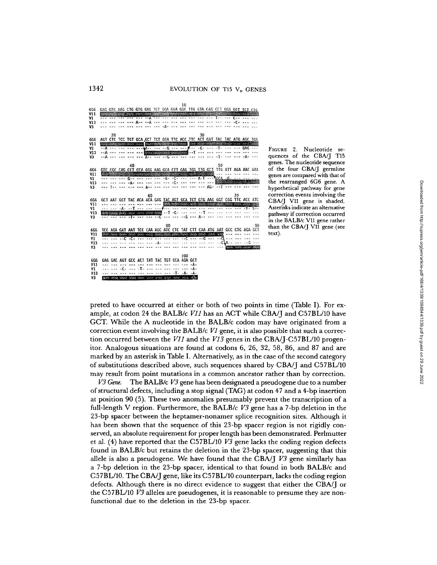|                   |    |                                             |    |    |    | 10  |               |    |    |                                                      |                                                                                |    |
|-------------------|----|---------------------------------------------|----|----|----|-----|---------------|----|----|------------------------------------------------------|--------------------------------------------------------------------------------|----|
| <b>6G6</b><br>V11 |    |                                             |    |    |    |     |               |    |    |                                                      | GAG GTG AAG CTG GTG GAG TCT GGA GGA GGC TTG GTA CAG CCT GGG GGT TCT CTG        |    |
| V1                |    |                                             |    |    |    |     |               |    |    | . התר נכבה מבה ומים בפי והבה וממח במבי המבי מהם בפתי |                                                                                |    |
| <b>V13</b>        |    |                                             |    |    |    |     |               |    |    |                                                      |                                                                                |    |
| V3                |    | .A.                                         |    |    |    |     |               |    |    |                                                      |                                                                                |    |
|                   |    |                                             |    |    |    |     |               |    |    |                                                      |                                                                                |    |
|                   | 20 |                                             |    |    |    |     |               | 30 |    |                                                      |                                                                                |    |
| <b>6G6</b>        |    |                                             |    |    |    |     |               |    |    |                                                      | AGT CTC TCC TGT GCA GCT TCT GGA TTC ACC TTC ACT GAT TAC TAC ATG AGC TGG        |    |
| V11               |    |                                             |    |    |    |     |               |    |    |                                                      | to a ladariació por por par decision estimos los esos debidos bar por nos esos |    |
| V1                |    |                                             |    |    |    |     |               |    |    |                                                      |                                                                                |    |
| V13               |    |                                             |    |    |    |     |               |    |    |                                                      |                                                                                |    |
| V3                |    |                                             |    |    |    |     |               |    |    |                                                      | .].   .A.                                                                      |    |
|                   |    |                                             |    |    |    |     |               |    |    |                                                      |                                                                                |    |
|                   |    |                                             | 40 |    |    |     |               |    | 50 |                                                      |                                                                                |    |
| 666               |    |                                             |    |    |    |     |               |    |    |                                                      | GTC CGC CAG CCT CCA GGG AAG GCA CTT GAG TGG TTG GCT TTG ATT AGA AAC AAA        |    |
| V11               |    |                                             |    |    |    |     |               |    |    |                                                      | 20 20 20 20 21 22 23 24 25 26 27 28 29 29 20 20 20 20 20 20 20 20              |    |
| V1                |    |                                             |    |    |    |     |               |    |    |                                                      |                                                                                |    |
| <b>V13</b><br>V3  |    |                                             |    |    |    |     |               |    |    |                                                      |                                                                                |    |
|                   |    |                                             |    |    |    |     |               |    |    |                                                      |                                                                                |    |
|                   |    |                                             |    | 60 |    |     |               |    |    |                                                      | 70                                                                             |    |
| 666               |    |                                             |    |    |    |     |               |    |    |                                                      | GCT AAT GGT TAC ACA ACA GAG TAC AGT GCA TCT GTG AAG GGT CGG TTC ACC ATC        |    |
| V11               |    |                                             |    |    |    |     |               |    |    |                                                      |                                                                                |    |
| V1                |    |                                             |    |    |    |     |               |    |    |                                                      |                                                                                |    |
| <b>V13</b>        |    |                                             |    |    |    |     |               |    |    |                                                      |                                                                                |    |
| V3                |    |                                             |    |    |    |     |               |    |    |                                                      |                                                                                |    |
|                   |    |                                             |    |    |    |     |               |    |    |                                                      |                                                                                |    |
|                   |    |                                             |    |    | 80 |     |               |    |    |                                                      |                                                                                | 90 |
| 666<br><b>V11</b> |    |                                             |    |    |    |     |               |    |    |                                                      | TCC AGA GAT AAT TCC CAA AGC ATC CTC TAT CTT CAA ATG AAT GCC CTG AGA GCT        |    |
| V1                |    |                                             |    |    |    |     |               |    |    |                                                      |                                                                                |    |
| V13               |    |                                             |    |    |    |     |               |    |    |                                                      |                                                                                |    |
| V3                |    |                                             |    |    |    |     |               |    |    |                                                      |                                                                                |    |
|                   |    |                                             |    |    |    |     |               |    |    |                                                      |                                                                                |    |
|                   |    |                                             |    |    |    | 100 |               |    |    |                                                      |                                                                                |    |
| 666               |    | GAG GAC AGT GCC ACT TAT TAC TGT GCA AGA GCT |    |    |    |     |               |    |    |                                                      |                                                                                |    |
| V11               |    | ---- --- --- --- --- --- ---                |    |    |    |     | $\cdots$ $-A$ |    |    |                                                      |                                                                                |    |
| V1                |    |                                             |    |    |    |     |               |    |    |                                                      |                                                                                |    |
| V13               |    |                                             |    |    |    |     |               |    |    |                                                      |                                                                                |    |
| V3                |    | ביטע עפת בגם כרב כלה המה בבים כרת מאה העב   |    |    |    |     |               |    |    |                                                      |                                                                                |    |

FIGURE 2 . Nucleotide sequences of the CBA/J T15 genes . The nucleotide sequence of the four CBA/J germline genes are compared with that of the rearranged 6G6 gene . A hypothetical pathway for gene correction events involving the CBA/J V11 gene is shaded . Asterisks indicate an alternative pathway if correction occurred in the BALB/c V11 gene rather than the CBA/J V11 gene (see text) .

preted to have occurred at either or both of two points in time (Table 1) . For example, at codon <sup>24</sup> the BALB/c V11 has an ACT while CBA/J and C57BL/10 have GCT. While the A nucleotide in the BALB/c codon may have originated from a correction event involving the  $BALB/c$   $VI$  gene, it is also possible that such a correction occurred between the  $V11$  and the  $V13$  genes in the CBA/J-C57BL/10 progenitor. Analogous situations are found at codons 6, 26, 32, 58, 86, and 87 and are marked by an asterisk in Table 1 . Alternatively, as in the case ofthe second category of substitutions described above, such sequences shared by CBA/J and C57BL/10 may result from point mutations in a common ancestor rather than by correction .

V3 Gene . The  $\mathrm{BALB/c}$   $V3$  gene has been designated a pseudogene due to a number of structural defects, including a stop signal (TAG) at codon 47 and a 4-bp insertion at position 90 (5) . These two anomalies presumably prevent the transcription of a full-length V region. Furthermore, the BALB/c V3 gene has a 7-bp deletion in the 23-bp spacer between the heptamer-nonamer splice recognition sites . Although it has been shown that the sequence of this 23-bp spacer region is not rigidly conserved, an absolute requirement for proper length has been demonstrated . Perlmutter et al . (4) have reported that the C57BL/10 V3 gene lacks the coding region defects found in BALB/c but retains the deletion in the 23-bp spacer, suggesting that this allele is also a pseudogene . We have found that the CBA/J V3 gene similarly has a 7-bp deletion in the 23-bp spacer, identical to that found in both BALB/c and C57BL/10 . The CBA/J gene, like its C57BL/10 counterpart, lacks the coding region defects . Although there is no direct evidence to suggest that either the CBA/J or the C57BL/10 V3 alleles are pseudogenes, it is reasonable to presume they are nonfunctional due to the deletion in the 23-bp spacer.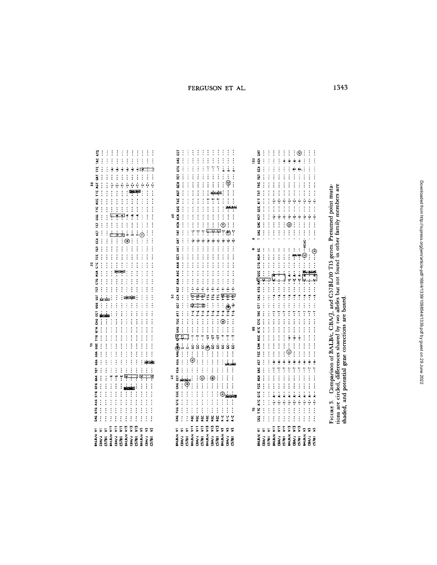| i                                  | $\vdots$                                                         | $\vdots$<br>$\vdots$                           |                                                                                                                              |                                                                   |                                                                                                                                                                                                                                                                |
|------------------------------------|------------------------------------------------------------------|------------------------------------------------|------------------------------------------------------------------------------------------------------------------------------|-------------------------------------------------------------------|----------------------------------------------------------------------------------------------------------------------------------------------------------------------------------------------------------------------------------------------------------------|
|                                    |                                                                  |                                                |                                                                                                                              |                                                                   |                                                                                                                                                                                                                                                                |
|                                    |                                                                  |                                                |                                                                                                                              |                                                                   |                                                                                                                                                                                                                                                                |
|                                    |                                                                  |                                                |                                                                                                                              |                                                                   |                                                                                                                                                                                                                                                                |
|                                    |                                                                  |                                                |                                                                                                                              |                                                                   |                                                                                                                                                                                                                                                                |
|                                    |                                                                  |                                                |                                                                                                                              |                                                                   |                                                                                                                                                                                                                                                                |
|                                    |                                                                  |                                                |                                                                                                                              |                                                                   |                                                                                                                                                                                                                                                                |
| $\vdots$                           |                                                                  |                                                |                                                                                                                              |                                                                   |                                                                                                                                                                                                                                                                |
| $\vdots$                           |                                                                  |                                                |                                                                                                                              | ؞                                                                 |                                                                                                                                                                                                                                                                |
| $\vdots$                           |                                                                  |                                                |                                                                                                                              | $\mathbf{e}$                                                      |                                                                                                                                                                                                                                                                |
| Ξ                                  |                                                                  |                                                |                                                                                                                              |                                                                   |                                                                                                                                                                                                                                                                |
| Ģ                                  |                                                                  |                                                |                                                                                                                              | $\vdots$<br>ڹ                                                     |                                                                                                                                                                                                                                                                |
|                                    |                                                                  |                                                |                                                                                                                              |                                                                   |                                                                                                                                                                                                                                                                |
|                                    |                                                                  |                                                |                                                                                                                              |                                                                   |                                                                                                                                                                                                                                                                |
|                                    |                                                                  |                                                |                                                                                                                              |                                                                   |                                                                                                                                                                                                                                                                |
| 9                                  |                                                                  | S                                              |                                                                                                                              | S                                                                 |                                                                                                                                                                                                                                                                |
| GGG ARG AGA<br>GTC CGC CAG CCT CCA | <b>CHE CAG TGG</b>                                               | AAC AAA<br>ă<br><b>GCA AGT</b><br>ATT GCT      | ä<br>ដូ                                                                                                                      | AAG.<br>GTG<br>Ë<br>ថ្ង<br>AGT<br>IAC<br>GAG<br>ă<br>ă<br>GAT TAT | ថ្ង                                                                                                                                                                                                                                                            |
| $\vdots$<br>$\vdots$               | .<br>                                                            |                                                |                                                                                                                              |                                                                   |                                                                                                                                                                                                                                                                |
| Ģ                                  | $\vdots$<br>ة                                                    |                                                |                                                                                                                              |                                                                   |                                                                                                                                                                                                                                                                |
| Ξ                                  | °.<br>$\mathbf{r}$<br>ģ                                          |                                                |                                                                                                                              |                                                                   |                                                                                                                                                                                                                                                                |
|                                    |                                                                  |                                                |                                                                                                                              |                                                                   |                                                                                                                                                                                                                                                                |
|                                    | ë<br>7<br>ġ                                                      |                                                |                                                                                                                              |                                                                   |                                                                                                                                                                                                                                                                |
|                                    | $\ddot{\cdot}$<br>ī<br>ůς.                                       | $\ddot{ }$ :                                   |                                                                                                                              |                                                                   |                                                                                                                                                                                                                                                                |
|                                    | $\ddot{\cdot}$<br>ដុ                                             | ÷<br>116                                       |                                                                                                                              |                                                                   |                                                                                                                                                                                                                                                                |
|                                    | $\ddot{.}$<br>ċ<br>ģ                                             | ÷<br>110                                       |                                                                                                                              | ፣                                                                 |                                                                                                                                                                                                                                                                |
|                                    | ř<br>$\vdots$<br>ö<br>ģ                                          | 7<br>۲ű                                        |                                                                                                                              | $\overline{\cdot}$                                                |                                                                                                                                                                                                                                                                |
|                                    | $\ddot{\cdot}$<br>۵<br>Ξ                                         |                                                |                                                                                                                              | $\vdots$                                                          |                                                                                                                                                                                                                                                                |
| $\vdots$<br>$\vdots$               | $\frac{1}{2}$<br>$\vdots$<br>፣<br>ġ                              |                                                |                                                                                                                              | ፡<br>$\cdot$ (6) $\cdot$ .<br>$\vdots$<br>ï                       |                                                                                                                                                                                                                                                                |
|                                    |                                                                  |                                                |                                                                                                                              |                                                                   |                                                                                                                                                                                                                                                                |
|                                    |                                                                  |                                                |                                                                                                                              |                                                                   |                                                                                                                                                                                                                                                                |
|                                    |                                                                  |                                                |                                                                                                                              |                                                                   |                                                                                                                                                                                                                                                                |
|                                    |                                                                  |                                                |                                                                                                                              |                                                                   |                                                                                                                                                                                                                                                                |
|                                    |                                                                  |                                                |                                                                                                                              |                                                                   |                                                                                                                                                                                                                                                                |
| Ę<br>š<br>CGG TTC ATC GTC TCC AGA  |                                                                  |                                                |                                                                                                                              | <b>ISI</b> CCA<br>IAC<br>ATT TAT<br>ដូ<br><b>GAG GAC ACT</b>      | AGA GAT                                                                                                                                                                                                                                                        |
|                                    | $\vdots$                                                         | $\vdots$                                       |                                                                                                                              |                                                                   |                                                                                                                                                                                                                                                                |
|                                    |                                                                  |                                                |                                                                                                                              |                                                                   |                                                                                                                                                                                                                                                                |
|                                    |                                                                  |                                                |                                                                                                                              |                                                                   |                                                                                                                                                                                                                                                                |
|                                    |                                                                  |                                                |                                                                                                                              |                                                                   |                                                                                                                                                                                                                                                                |
|                                    |                                                                  |                                                |                                                                                                                              |                                                                   |                                                                                                                                                                                                                                                                |
|                                    |                                                                  |                                                |                                                                                                                              |                                                                   |                                                                                                                                                                                                                                                                |
|                                    |                                                                  |                                                |                                                                                                                              |                                                                   |                                                                                                                                                                                                                                                                |
| ፣                                  | ÷                                                                | $\frac{1}{2}$                                  | ŗ                                                                                                                            |                                                                   |                                                                                                                                                                                                                                                                |
| ī                                  |                                                                  | $\vdots$                                       | ÷                                                                                                                            |                                                                   | $\bm{\omega}$                                                                                                                                                                                                                                                  |
| 7                                  |                                                                  |                                                | ACA<br>$\mathbf{e}$                                                                                                          |                                                                   |                                                                                                                                                                                                                                                                |
| ፣<br>$\vdots$                      |                                                                  |                                                | ::                                                                                                                           |                                                                   |                                                                                                                                                                                                                                                                |
|                                    |                                                                  |                                                |                                                                                                                              |                                                                   |                                                                                                                                                                                                                                                                |
|                                    |                                                                  |                                                |                                                                                                                              |                                                                   |                                                                                                                                                                                                                                                                |
|                                    |                                                                  |                                                |                                                                                                                              |                                                                   |                                                                                                                                                                                                                                                                |
|                                    |                                                                  |                                                |                                                                                                                              |                                                                   |                                                                                                                                                                                                                                                                |
|                                    |                                                                  |                                                |                                                                                                                              |                                                                   |                                                                                                                                                                                                                                                                |
|                                    |                                                                  |                                                |                                                                                                                              |                                                                   |                                                                                                                                                                                                                                                                |
|                                    |                                                                  |                                                |                                                                                                                              |                                                                   |                                                                                                                                                                                                                                                                |
|                                    |                                                                  |                                                |                                                                                                                              |                                                                   |                                                                                                                                                                                                                                                                |
|                                    | $\vdots$<br>÷<br>$\vdots$<br>$\overline{\cdot}$<br>Ī<br>$\vdots$ | $\vdots$<br>:::<br>8<br>÷<br>$\mathbf{r}$<br>ġ | $\frac{1}{2}$<br>TEC CAA AGE ATE CTE TAC CTT CAG ATG ANT<br>Ē<br>shaded, and potential gene corrections are boxed<br>÷<br>ů, | $\odot \ddots$<br><b>GCC CTG AGA</b>                              | $\vdots$<br><b>SO1</b><br>$\ddot{\cdot}$<br>$\vdots$<br>tions are circled, differences shared by two alleles but not found in other family members are<br>Comparison of BALB/c, CBA/J, and C57BL/10 T15 genes. Presumed point muta-<br>Ţ<br>ۏ<br>$\vdots$<br>ة |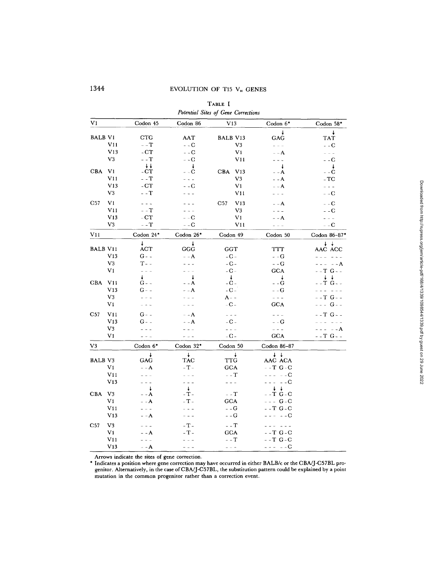| V <sub>1</sub>           |                | Codon 45                           | Codon 86             | V13                                       | Codon 6*                                                                                                                                                                                                                                                                                                                                                                                     | Codon 58*                                                                                                                                                                                                                                                                                                                                                                                    |
|--------------------------|----------------|------------------------------------|----------------------|-------------------------------------------|----------------------------------------------------------------------------------------------------------------------------------------------------------------------------------------------------------------------------------------------------------------------------------------------------------------------------------------------------------------------------------------------|----------------------------------------------------------------------------------------------------------------------------------------------------------------------------------------------------------------------------------------------------------------------------------------------------------------------------------------------------------------------------------------------|
| <b>BALB V1</b>           |                | <b>CTG</b>                         | AAT                  | <b>BALB V13</b>                           | $\downarrow$<br>GAG                                                                                                                                                                                                                                                                                                                                                                          | ↓<br><b>TAT</b>                                                                                                                                                                                                                                                                                                                                                                              |
|                          | V11            | $- -T$                             | $-$ – $C$            | V <sub>3</sub>                            | $\frac{1}{2} \frac{1}{2} \frac{1}{2} \frac{1}{2} \frac{1}{2} \frac{1}{2} \frac{1}{2} \frac{1}{2} \frac{1}{2} \frac{1}{2} \frac{1}{2} \frac{1}{2} \frac{1}{2} \frac{1}{2} \frac{1}{2} \frac{1}{2} \frac{1}{2} \frac{1}{2} \frac{1}{2} \frac{1}{2} \frac{1}{2} \frac{1}{2} \frac{1}{2} \frac{1}{2} \frac{1}{2} \frac{1}{2} \frac{1}{2} \frac{1}{2} \frac{1}{2} \frac{1}{2} \frac{1}{2} \frac{$ | - -C                                                                                                                                                                                                                                                                                                                                                                                         |
|                          | V13            | $-CT$                              | $  C$                | V1                                        | $- -A$                                                                                                                                                                                                                                                                                                                                                                                       | $=$ $ -$                                                                                                                                                                                                                                                                                                                                                                                     |
|                          | V3             | $-$ - $T$                          | – – C                | V11                                       |                                                                                                                                                                                                                                                                                                                                                                                              | - -C                                                                                                                                                                                                                                                                                                                                                                                         |
|                          |                | $+1$                               |                      |                                           |                                                                                                                                                                                                                                                                                                                                                                                              |                                                                                                                                                                                                                                                                                                                                                                                              |
| <b>CBA</b>               | V <sub>1</sub> | $-CT$                              | - - C                | <b>CBA</b><br>V13                         | - - A                                                                                                                                                                                                                                                                                                                                                                                        | - - C                                                                                                                                                                                                                                                                                                                                                                                        |
|                          | V11            | - - T                              |                      | V3                                        | - - A                                                                                                                                                                                                                                                                                                                                                                                        | - TC                                                                                                                                                                                                                                                                                                                                                                                         |
|                          | V13            | $-CT$                              | $-$ - $C$            | V1                                        | $- -A$                                                                                                                                                                                                                                                                                                                                                                                       | $\sim$ $\sim$ $\sim$                                                                                                                                                                                                                                                                                                                                                                         |
|                          | V3             | - - T                              |                      | V11                                       |                                                                                                                                                                                                                                                                                                                                                                                              | – – C                                                                                                                                                                                                                                                                                                                                                                                        |
| C57                      | V <sub>1</sub> | $- - -$                            |                      | C57<br>V13                                | $- -A$                                                                                                                                                                                                                                                                                                                                                                                       | $=$ $ \bf{C}$                                                                                                                                                                                                                                                                                                                                                                                |
|                          | V11            | - - T                              | $- - -$              | V3                                        | $\frac{1}{2} \frac{1}{2} \frac{1}{2} \frac{1}{2} \frac{1}{2} \frac{1}{2} \frac{1}{2} \frac{1}{2} \frac{1}{2} \frac{1}{2} \frac{1}{2} \frac{1}{2} \frac{1}{2} \frac{1}{2} \frac{1}{2} \frac{1}{2} \frac{1}{2} \frac{1}{2} \frac{1}{2} \frac{1}{2} \frac{1}{2} \frac{1}{2} \frac{1}{2} \frac{1}{2} \frac{1}{2} \frac{1}{2} \frac{1}{2} \frac{1}{2} \frac{1}{2} \frac{1}{2} \frac{1}{2} \frac{$ | - -C                                                                                                                                                                                                                                                                                                                                                                                         |
|                          | V13            | $-CT$                              | – – C                | V1                                        | – – A                                                                                                                                                                                                                                                                                                                                                                                        | $\frac{1}{2}$ = $\frac{1}{2}$                                                                                                                                                                                                                                                                                                                                                                |
|                          | V3             | $\sim$ – T                         | – – C                | V11                                       | $\frac{1}{2}$ = $\frac{1}{2}$                                                                                                                                                                                                                                                                                                                                                                | – – C                                                                                                                                                                                                                                                                                                                                                                                        |
| V11                      |                | Codon 24*                          | Codon 26*            | Codon 49                                  | Codon 50                                                                                                                                                                                                                                                                                                                                                                                     | Codon 86-87*                                                                                                                                                                                                                                                                                                                                                                                 |
|                          |                | $\downarrow$                       | Ť                    |                                           |                                                                                                                                                                                                                                                                                                                                                                                              | J.<br>$\downarrow$                                                                                                                                                                                                                                                                                                                                                                           |
| <b>BALB V11</b>          |                | <b>ACT</b>                         | GGG                  | <b>GGT</b>                                | <b>TTT</b>                                                                                                                                                                                                                                                                                                                                                                                   | AAC ACC                                                                                                                                                                                                                                                                                                                                                                                      |
|                          | V13            | $G - -$                            | $- - A$              | $- C -$                                   | $ -G$                                                                                                                                                                                                                                                                                                                                                                                        | $\frac{1}{2} \frac{1}{2} \frac{1}{2} \frac{1}{2} \frac{1}{2} \frac{1}{2} \frac{1}{2} \frac{1}{2} \frac{1}{2} \frac{1}{2} \frac{1}{2} \frac{1}{2} \frac{1}{2} \frac{1}{2} \frac{1}{2} \frac{1}{2} \frac{1}{2} \frac{1}{2} \frac{1}{2} \frac{1}{2} \frac{1}{2} \frac{1}{2} \frac{1}{2} \frac{1}{2} \frac{1}{2} \frac{1}{2} \frac{1}{2} \frac{1}{2} \frac{1}{2} \frac{1}{2} \frac{1}{2} \frac{$ |
|                          | V <sub>3</sub> | $T - -$                            | $-1$                 | $ C$ -                                    | - - G                                                                                                                                                                                                                                                                                                                                                                                        | $- - - - - A$                                                                                                                                                                                                                                                                                                                                                                                |
| V <sub>1</sub>           |                | $\frac{1}{2}$ = $\frac{1}{2}$<br>t | Ť                    | $ \mathbf{C}$ –<br>Ť.                     | <b>GCA</b><br>Ť                                                                                                                                                                                                                                                                                                                                                                              | - - T G - -<br>T.                                                                                                                                                                                                                                                                                                                                                                            |
| <b>CBA</b><br>V11<br>V13 |                | $G - -$                            | - - A                | – C –                                     | - - G                                                                                                                                                                                                                                                                                                                                                                                        | $-T$ G $-$ -                                                                                                                                                                                                                                                                                                                                                                                 |
|                          |                | $G - -$                            | $- - A$              | $- C -$                                   | $-$ - $G$                                                                                                                                                                                                                                                                                                                                                                                    |                                                                                                                                                                                                                                                                                                                                                                                              |
|                          | V3             |                                    | $\sim$ $\sim$ $\sim$ | $A - -$                                   | $- - -$                                                                                                                                                                                                                                                                                                                                                                                      | $-$ - T G $-$ -                                                                                                                                                                                                                                                                                                                                                                              |
|                          | V1             |                                    |                      | $ C$ –                                    | GCA                                                                                                                                                                                                                                                                                                                                                                                          | --- G--                                                                                                                                                                                                                                                                                                                                                                                      |
| C57                      | V11            | G - -                              | – – A                |                                           |                                                                                                                                                                                                                                                                                                                                                                                              | - -T G - -                                                                                                                                                                                                                                                                                                                                                                                   |
|                          | V13            | $G - -$                            | - - A                | $- C -$                                   | – – G                                                                                                                                                                                                                                                                                                                                                                                        | $\sim$ $ -$                                                                                                                                                                                                                                                                                                                                                                                  |
|                          | V3             |                                    |                      | $\frac{1}{2}$ $\frac{1}{2}$ $\frac{1}{2}$ | $\omega = \omega$                                                                                                                                                                                                                                                                                                                                                                            | $- - - - A$                                                                                                                                                                                                                                                                                                                                                                                  |
|                          | V <sub>1</sub> | $  -$                              | $- - -$              | $- C -$                                   | GCA                                                                                                                                                                                                                                                                                                                                                                                          | - - T G - -                                                                                                                                                                                                                                                                                                                                                                                  |
| V3                       |                | Codon 6*                           | Codon 32*            | Codon 50                                  | Codon 86-87                                                                                                                                                                                                                                                                                                                                                                                  |                                                                                                                                                                                                                                                                                                                                                                                              |
|                          |                | Ť                                  | $\ddot{\phantom{0}}$ | T                                         | $\frac{1}{2}$                                                                                                                                                                                                                                                                                                                                                                                |                                                                                                                                                                                                                                                                                                                                                                                              |
| <b>BALB V3</b>           |                | GAG                                | <b>TAC</b>           | <b>TTG</b>                                | AAC ACA                                                                                                                                                                                                                                                                                                                                                                                      |                                                                                                                                                                                                                                                                                                                                                                                              |
|                          | V1             | $- - A$                            | $-T -$               | GCA                                       | $-$ - T G - C                                                                                                                                                                                                                                                                                                                                                                                |                                                                                                                                                                                                                                                                                                                                                                                              |
|                          | V11            |                                    |                      | $-$ - $T$                                 | $- - - - - C$                                                                                                                                                                                                                                                                                                                                                                                |                                                                                                                                                                                                                                                                                                                                                                                              |
|                          | V13            |                                    | $ -$                 | $- - -$                                   | --- --C                                                                                                                                                                                                                                                                                                                                                                                      |                                                                                                                                                                                                                                                                                                                                                                                              |
| <b>CBA</b>               | V <sub>3</sub> | – – A                              | - T -                | – – $T$                                   | 11<br>- - T G - C                                                                                                                                                                                                                                                                                                                                                                            |                                                                                                                                                                                                                                                                                                                                                                                              |
|                          | V <sub>1</sub> | – – A                              | $-T -$               | <b>GCA</b>                                | $- - - G - C$                                                                                                                                                                                                                                                                                                                                                                                |                                                                                                                                                                                                                                                                                                                                                                                              |
|                          | V11            | $- - -$                            |                      | – – G                                     | $-$ - T G - C                                                                                                                                                                                                                                                                                                                                                                                |                                                                                                                                                                                                                                                                                                                                                                                              |
|                          | V13            | - - A                              |                      | - - G                                     | $- - - - C$                                                                                                                                                                                                                                                                                                                                                                                  |                                                                                                                                                                                                                                                                                                                                                                                              |
| C57                      | V3             |                                    | - T -                | - - T                                     |                                                                                                                                                                                                                                                                                                                                                                                              |                                                                                                                                                                                                                                                                                                                                                                                              |
|                          | V1             | – – A                              | - T -                | GCA                                       | $-$ - T G - C                                                                                                                                                                                                                                                                                                                                                                                |                                                                                                                                                                                                                                                                                                                                                                                              |
|                          | V11            |                                    |                      | $  T$                                     | $-$ -TG-C                                                                                                                                                                                                                                                                                                                                                                                    |                                                                                                                                                                                                                                                                                                                                                                                              |
|                          | V13            | - - A                              |                      | $\frac{1}{2}$ = $\frac{1}{2}$             | --- --C                                                                                                                                                                                                                                                                                                                                                                                      |                                                                                                                                                                                                                                                                                                                                                                                              |

TABLE I Potential Sites of Gene Corrections

Arrows indicate the sites of gene correction.<br>\* Indicates a position where gene correction may have occurred in either BALB/c or the CBA/J-C57BL progenitor. Alternatively, in the case of CBA/J-C57BL, the substitution pattern could be explained by <sup>a</sup> point mutation in the common progenitor rather than a correction event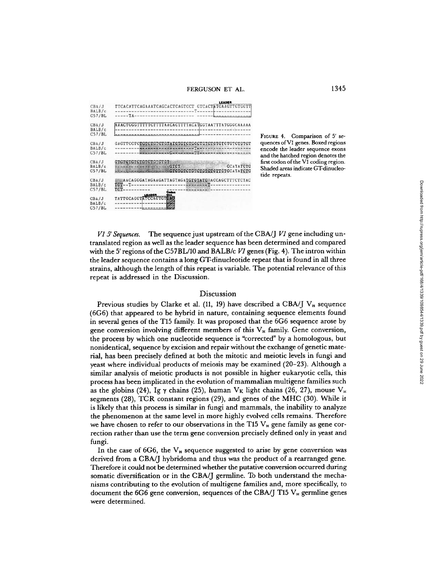|        | <b>LEADER</b>                                                                                                                                                                                                                                                                                                                                                                                                                                                                                                                                                                                                                                                                                           |
|--------|---------------------------------------------------------------------------------------------------------------------------------------------------------------------------------------------------------------------------------------------------------------------------------------------------------------------------------------------------------------------------------------------------------------------------------------------------------------------------------------------------------------------------------------------------------------------------------------------------------------------------------------------------------------------------------------------------------|
| CBA/J  | TTCACATTCAGAAATCAGCACTCAGTCCT GTCACTATCAAGTTGTGGTT                                                                                                                                                                                                                                                                                                                                                                                                                                                                                                                                                                                                                                                      |
| BALB/c |                                                                                                                                                                                                                                                                                                                                                                                                                                                                                                                                                                                                                                                                                                         |
| C57/BL | -----TA----------------------- ---                                                                                                                                                                                                                                                                                                                                                                                                                                                                                                                                                                                                                                                                      |
| CBA/J  | AAACTGGGTTTTTCTTTTAACACTTTTACATGGTAATTTATGGGCAAAAA                                                                                                                                                                                                                                                                                                                                                                                                                                                                                                                                                                                                                                                      |
| BALB/c |                                                                                                                                                                                                                                                                                                                                                                                                                                                                                                                                                                                                                                                                                                         |
| C57/BL |                                                                                                                                                                                                                                                                                                                                                                                                                                                                                                                                                                                                                                                                                                         |
| CBA/J  |                                                                                                                                                                                                                                                                                                                                                                                                                                                                                                                                                                                                                                                                                                         |
| BALB/c |                                                                                                                                                                                                                                                                                                                                                                                                                                                                                                                                                                                                                                                                                                         |
| C57/BL |                                                                                                                                                                                                                                                                                                                                                                                                                                                                                                                                                                                                                                                                                                         |
| CBA/J  | <b>CTCTCTCTCTCTCTCTCTCT</b>                                                                                                                                                                                                                                                                                                                                                                                                                                                                                                                                                                                                                                                                             |
| BALB/c | <b>GCATATGTG</b><br>--------------------GTGT                                                                                                                                                                                                                                                                                                                                                                                                                                                                                                                                                                                                                                                            |
| C57/BL | --------------------GTGTGTGTGTGTGTGTTGTGCATATGTG                                                                                                                                                                                                                                                                                                                                                                                                                                                                                                                                                                                                                                                        |
| CBA/J  | AACAGGGATAGAAGATTAGTAGATGTGTATG ACCAGCTTTCTCTAC                                                                                                                                                                                                                                                                                                                                                                                                                                                                                                                                                                                                                                                         |
| BALB/c |                                                                                                                                                                                                                                                                                                                                                                                                                                                                                                                                                                                                                                                                                                         |
| C57/BL | $TGT$ ----------<br>$\mathcal{M} \rightarrow \mathcal{M} \rightarrow \mathcal{M} \rightarrow \mathcal{M} \rightarrow \mathcal{M} \rightarrow \mathcal{M} \rightarrow \mathcal{M} \rightarrow \mathcal{M} \rightarrow \mathcal{M} \rightarrow \mathcal{M} \rightarrow \mathcal{M} \rightarrow \mathcal{M} \rightarrow \mathcal{M} \rightarrow \mathcal{M} \rightarrow \mathcal{M} \rightarrow \mathcal{M} \rightarrow \mathcal{M} \rightarrow \mathcal{M} \rightarrow \mathcal{M} \rightarrow \mathcal{M} \rightarrow \mathcal{M} \rightarrow \mathcal{M} \rightarrow \mathcal{M} \rightarrow \mathcal{M} \rightarrow \mathcal{M} \rightarrow \mathcal{M} \rightarrow \mathcal{M} \rightarrow \mathcal{$ |
|        | LEADER                                                                                                                                                                                                                                                                                                                                                                                                                                                                                                                                                                                                                                                                                                  |
| CBA/J  | <b>TATTGCAGGTATCCAGTGTES</b>                                                                                                                                                                                                                                                                                                                                                                                                                                                                                                                                                                                                                                                                            |
| BALB/c |                                                                                                                                                                                                                                                                                                                                                                                                                                                                                                                                                                                                                                                                                                         |
| C57/BL |                                                                                                                                                                                                                                                                                                                                                                                                                                                                                                                                                                                                                                                                                                         |

FIGURE 4 . Comparison of <sup>5</sup>' sequences of Vl genes. Boxed regions encode the leader sequence exons and the hatched region denotes the first codon of the Vl coding region . Shaded areas indicate GT-dinucleotide repeats.

V1 5' Sequences. The sequence just upstream of the CBA/J  $VI$  gene including untranslated region as well as the leader sequence has been determined and compared with the  $5'$  regions of the C57BL/10 and BALB/c  $\emph{VI}$  genes (Fig. 4). The intron within the leader sequence contains a long GT-dinucleotide repeat that is found in all three strains, although the length of this repeat is variable . The potential relevance ofthis repeat is addressed in the Discussion .

## Discussion

Previous studies by Clarke et al. (11, 19) have described a CBA/J VH sequence (6G6) that appeared to be hybrid in nature, containing sequence elements found in several genes of the T15 family. It was proposed that the 6G6 sequence arose by gene conversion involving different members of this  $V_H$  family. Gene conversion, the process by which one nucleotide sequence is "corrected" by a homologous, but nonidentical, sequence by excision and repair without the exchange of genetic material, has been precisely defined at both the mitotic and meiotic levels in fungi and yeast where individual products of meiosis may be examined (20-23) . Although a similar analysis of meiotic products is not possible in higher eukaryotic cells, this process has been implicated in the evolution of mammalian multigene families such as the globins (24), Ig  $\gamma$  chains (25), human  $V_K$  light chains (26, 27), mouse V segments (28), TCR constant regions (29), and genes of the MHC (30) . While it is likely that this process is similar in fungi and mammals, the inability to analyze the phenomenon at the same level in more highly evolved cells remains . Therefore we have chosen to refer to our observations in the T15 V<sub>H</sub> gene family as gene correction rather than use the term gene conversion precisely defined only in yeast and fungi .

In the case of 6G6, the  $V_H$  sequence suggested to arise by gene conversion was derived from a CBA/J hybridoma and thus was the product of a rearranged gene . Therefore it could not be determined whether the putative conversion occurred during somatic diversification or in the CBA/J germline . To both understand the mechanisms contributing to the evolution of multigene families and, more specifically, to document the 6G6 gene conversion, sequences of the CBA/J T15 V<sub>H</sub> germline genes were determined .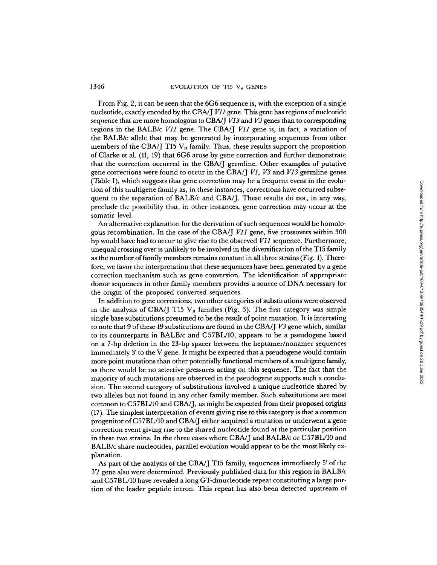From Fig. 2, it can be seen that the 6G6 sequence is, with the exception of a single nucleotide, exactly encoded by the CBA/J VII gene. This gene has regions of nucleotide sequence that are more homologous to CBA/J  $V13$  and  $V3$  genes than to corresponding regions in the BALB/c VII gene. The CBA/J V11 gene is, in fact, a variation of the BALB/c allele that may be generated by incorporating sequences from other members of the CBA/J T15  $V_H$  family. Thus, these results support the proposition of Clarke et al . (11, 19) that 6G6 arose by gene correction and further demonstrate that the correction occurred in the CBA/J germline. Other examples of putative gene corrections were found to occur in the CBA/J V1, V3 and V13 germline genes (Table 1), which suggests that gene correction may be afrequent event in the evolution of this multigene family as, in these instances, corrections have occurred subsequent to the separation of BALB/c and CBA/J. These results do not, in any way, preclude the possibility that, in other instances, gene correction may occur at the somatic level.

An alternative explanation for the derivation of such sequences would be homologous recombination. In the case of the CBA/J VII gene, five crossovers within 300 by would have had to occur to give rise to the observed V11 sequence. Furthermore, unequal crossing over is unlikely to be involved in the diversification ofthe T15 family as the number of family members remains constant in all three strains  $(Fig. 1)$ . Therefore, we favor the interpretation that these sequences have been generated by a gene correction mechanism such as gene conversion. The identification of appropriate donor sequences in other family members provides a source of DNA necessary for the origin of the proposed converted sequences.

In addition to gene corrections, two other categories of substitutions were observed in the analysis of CBA/J T15  $V_H$  families (Fig. 3). The first category was simple single base substitutions presumed to be the result of point mutation. It is interesting to note that 9 of these <sup>19</sup> substitutions are found in the CBA/J V3 gene which, similar to its counterparts in BALB/c and C57BL/10, appears to be a pseudogene based on a 7-bp deletion in the 23-bp spacer between the heptamer/nonamer sequences immediately 3' to the V gene. It might be expected that a pseudogene would contain more point mutations than other potentially functional members of amultigene family, as there would be no selective pressures acting on this sequence. The fact that the majority of such mutations are observed in the pseudogene supports such a conclusion. The second category of substitutions involved a unique nucleotide shared by two alleles but not found in any other family member. Such substitutions are most common to C57BL/10 and CBA/J, as might be expected from their proposed origins (17). The simplest interpretation of events giving rise to this category is that a common progenitor of C57BL/10 and CBA/J either acquired a mutation or underwent a gene correction event giving rise to the shared nucleotide found at the particular position in these two strains. In the three cases where CBA/J and BALB/c or C57BL/10 and BALB/c share nucleotides, parallel evolution would appear to be the most likely explanation.

As part of the analysis of the CBA/J T15 family, sequences immediately <sup>5</sup>' of the V1 gene also were determined. Previously published data for this region in BALB/ $c$ and C57BL/10 have revealed along GTdinucleotide repeat constituting alarge portion of the leader peptide intron. This repeat has also been detected upstream of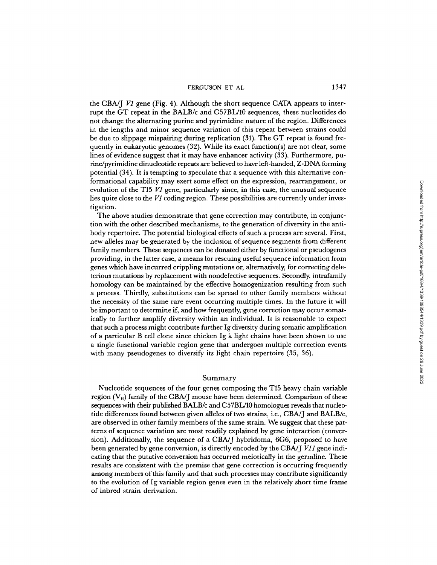the CBA/J VI gene (Fig. 4). Although the short sequence CATA appears to interrupt the GT repeat in the BALB/c and C57BL/10 sequences, these nucleotides do not change the alternating purine and pyrimidine nature of the region. Differences in the lengths and minor sequence variation of this repeat between strains could be due to slippage mispairing during replication (31) . The GT repeat is found frequently in eukaryotic genomes (32) . While its exact function(s) are not clear, some lines of evidence suggest that it may have enhancer activity (33) . Furthermore, purine/pyrimidine dinucleotide repeats are believed to have left-handed, Z-DNA forming potential (34) . It is tempting to speculate that a sequence with this alternative conformational capability may exert some effect on the expression, rearrangement, or evolution of the T15  $VI$  gene, particularly since, in this case, the unusual sequence lies quite close to the  $VI$  coding region. These possibilities are currently under investigation.

The above studies demonstrate that gene correction may contribute, in conjunction with the other described mechanisms, to the generation of diversity in the antibody repertoire . The potential biological effects of such a process are several. First, new alleles may be generated by the inclusion of sequence segments from different family members. These sequences can be donated either by functional or pseudogenes providing, in the latter case, a means for rescuing useful sequence information from genes which have incurred crippling mutations or, alternatively, for correcting deleterious mutations by replacement with nondefective sequences. Secondly, intrafamily homology can be maintained by the effective homogenization resulting from such a process. Thirdly, substitutions can be spread to other family members without the necessity of the same rare event occurring multiple times. In the future it will be important to determine if, and how frequently, gene correction mayoccur somatically to further amplify diversity within an individual. It is reasonable to expect that such aprocess might contribute further Ig diversity during somatic amplification of a particular B cell clone since chicken Ig X light chains have been shown to use a single functional variable region gene that undergoes multiple correction events with many pseudogenes to diversify its light chain repertoire (35, 36). contained capacities of a particularly in sect strained from the Superstant, reduction of the DIS UP gene, particularly since, in this case, the unusual sequence is equenced from the strained from the strained from the st

#### Summary

Nucleotide sequences of the four genes composing the T15 heavy chain variable region (V ) family of the CBA/J mouse have been determined. Comparison of these sequences with their published BALB/c and C57BL/10 homologues reveals that nucleotide differences found between given alleles of two strains, i.e., CBA/J and BALB/c, are observed in other family members of the same strain . We suggest that these patterns of sequence variation are most readily explained by gene interaction (conversion). Additionally, the sequence of a CBA/J hybridoma, 6G6, proposed to have been generated by gene conversion, is directly encoded by the CBA/J VII gene indicating that the putative conversion has occurred meiotically in the germline . These results are consistent with the premise that gene correction is occurring frequently among members of this family and that such processes may contribute significantly to the evolution of Ig variable region genes even in the relatively short time frame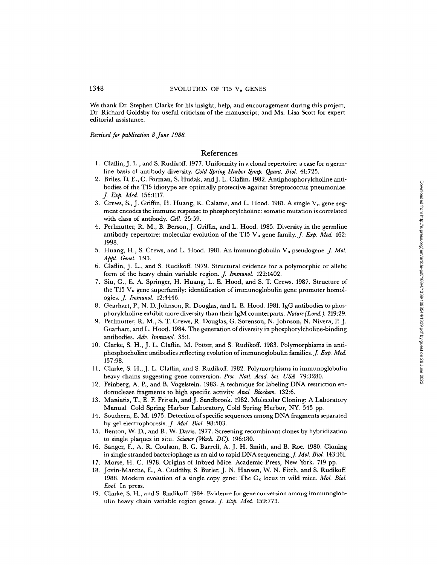We thank Dr. Stephen Clarke for his insight, help, and encouragement during this project; Dr. Richard Goldsby for useful criticism of the manuscript; and Ms. Lisa Scott for expert editorial assistance .

Received for publication 8 June 1988.

## References

- <sup>1</sup> . Claflin, J. L., and S. Rudikoff. 1977. Uniformity in a clonal repertoire: a case for a germline basis of antibody diversity. Cold Spring Harbor Symp. Quant. Biol. 41:725.
- 2. Briles, D. E., C. Forman, S. Hudak, and J. L. Claflin. 1982. Antiphosphorylcholine antibodies of the T15 idiotype are optimally protective against Streptococcus pneumoniae. J. Exp. Med. 156:1117.
- 3. Crews, S., J. Griffin, H. Huang, K. Calame, and L. Hood. 1981. A single  $V_{\text{H}}$  gene segment encodes the immune response to phosphorylcholine: somatic mutation is correlated with class of antibody. Cell. 25:59. bodies of the T13 ideology are optimally procedive against Streptococcus paramoniae.<br>
L'Exp. Med. 156:1117.<br>
Crew, S., I. Griffin, H. Huang, K. Calare, and L. Hood. 1985. Diversity in the germline<br>
with class of antibody
- 4. Perlmutter, R. M., B. Berson, J. Griffin, and L. Hood. 1985. Diversity in the germline antibody repertoire: molecular evolution of the T15  $V_B$  gene family. *J. Exp. Med.* 162: 1998.
- 5. Huang, H., S. Crews, and L. Hood. 1981. An immunoglobulin  $V<sub>H</sub>$  pseudogene. *J. Mol.* Appl. Genet. 1:93.
- 6. Claflin, <sup>J</sup> . L., and S. Rudikoff. 1979. Structural evidence for <sup>a</sup> polymorphic or allelic form of the heavy chain variable region. *J. Immunol.* 122:1402.
- 7. Siu, G., E. A. Springer, H. Huang, L. E. Hood, and S. T. Crews. 1987. Structure of the T15  $V_{\text{H}}$  gene superfamily: identification of immunoglobulin gene promoter homologies. J. Immunol. 12:4446.
- 8. Gearhart, P., N. D. Johnson, R. Douglas, and L. E. Hood. <sup>1981</sup> . IgG antibodies to phosphorylcholine exhibit more diversity than their IgM counterparts. Nature (Lond.). 219:29.
- 9. Perlmutter, R. M., S. T. Crews, R. Douglas, G. Sorenson, N. Johnson, N. Nivera, <sup>P</sup> J. Gearhart, and L. Hood. 1984. The generation of diversity in phosphorylcholine-binding antibodies. Adv. Immunol. 35:1.
- 10. Clarke, S. H., J. L. Claflin, M. Potter, and S. Rudikoff. <sup>1983</sup> . Polymorphisms in antiphosphocholine antibodies reflecting evolution of immunoglobulin families.  $J.$  Exp. Med. 157 :98 .
- <sup>11</sup> . Clarke, S. H., J. L. Claflin, and S. Rudikoff. 1982. Polymorphisms in immunoglobulin heavy chains suggesting gene conversion. Proc. Natl. Acad. Sci. USA. 79:3280.
- 12. Feinberg, A. P., and B. Vogelstein. 1983. A technique for labeling DNA restriction endonuclease fragments to high specific activity. Anal. Biochem. 132:6.
- 13. Maniatis, T, E. F. Fritsch, and J. Sandbrook . <sup>1982</sup> . Molecular Cloning: A Laboratory Manual. Cold Spring Harbor Laboratory, Cold Spring Harbor, NY. <sup>545</sup> pp.
- 14. Southern, E. M. <sup>1975</sup> . Detection of specific sequences among DNA fragments separated by gel electrophoresis. J. Mol. Biol. 98:503.
- 15. Benton, W. D., and R. W. Davis. 1977. Screening recombinant clones by hybridization to single plaques in situ. Science (Wash. DC). 196:180.
- 16. Sanger, F., A. R. Coulson, B. G. Barrell, A. J. H . Smith, and B. Roe. 1980. Cloning in single stranded bacteriophage as an aid to rapid DNA sequencing.  $J.$  Mol. Biol. 143:161.
- 17. Morse, H. C. 1978. Origins of Inbred Mice. Academic Press, New York. <sup>719</sup> pp.
- 18. Jovin-Marche, E., A. Cuddihy, S. Butler, J. N. Hansen, W. N. Fitch, and S. Rudikoff. 1988. Modern evolution of a single copy gene: The  $C_{\kappa}$  locus in wild mice. Mol. Biol.  $Eval.$  In press.
- 19. Clarke, S. H., and S. Rudikoff. 1984. Evidence for gene conversion among immunoglob-<br>ulin heavy chain variable region genes. *J. Exp. Med.* 159:773.